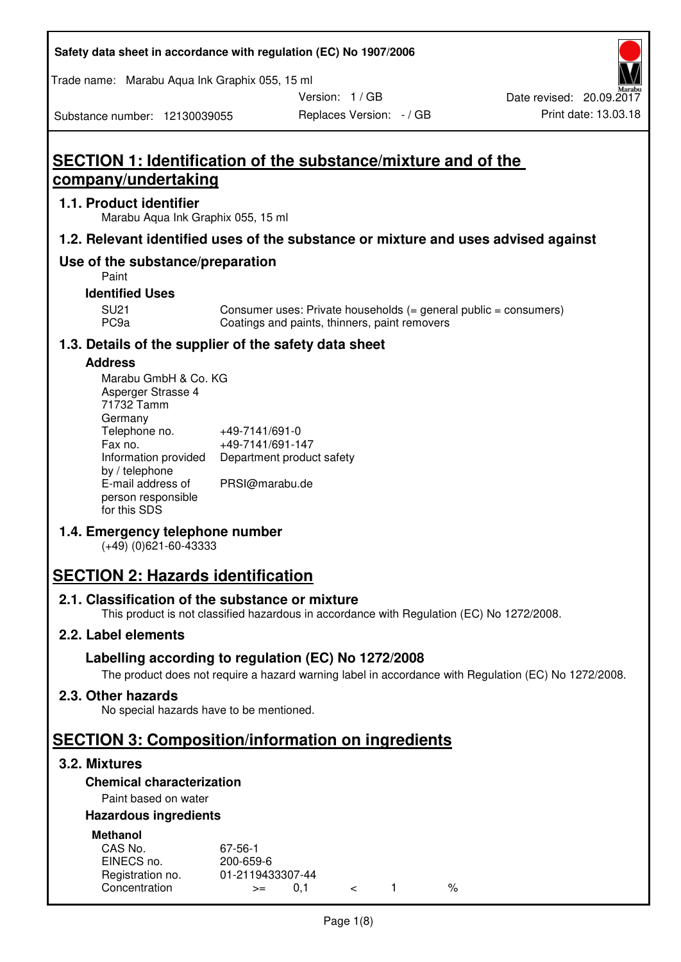#### **Safety data sheet in accordance with regulation (EC) No 1907/2006**

Trade name: Marabu Aqua Ink Graphix 055, 15 ml

Version: 1 / GB

Replaces Version: - / GB Print date: 13.03.18 Date revised: 20.09.2017

Substance number: 12130039055

# **SECTION 1: Identification of the substance/mixture and of the company/undertaking**

#### **1.1. Product identifier**

Marabu Aqua Ink Graphix 055, 15 ml

# **1.2. Relevant identified uses of the substance or mixture and uses advised against**

# **Use of the substance/preparation**

Paint

#### **Identified Uses**

SU21 Consumer uses: Private households (= general public = consumers)<br>PC9a Coatings and paints, thinners, paint removers Coatings and paints, thinners, paint removers

# **1.3. Details of the supplier of the safety data sheet**

#### **Address**

| Marabu GmbH & Co. KG |                           |
|----------------------|---------------------------|
| Asperger Strasse 4   |                           |
| 71732 Tamm           |                           |
| Germany              |                           |
| Telephone no.        | +49-7141/691-0            |
| Fax no.              | +49-7141/691-147          |
| Information provided | Department product safety |
| by / telephone       |                           |
| E-mail address of    | PRSI@marabu.de            |
| person responsible   |                           |
| for this SDS         |                           |

# **1.4. Emergency telephone number**

(+49) (0)621-60-43333

# **SECTION 2: Hazards identification**

#### **2.1. Classification of the substance or mixture**

This product is not classified hazardous in accordance with Regulation (EC) No 1272/2008.

# **2.2. Label elements**

# **Labelling according to regulation (EC) No 1272/2008**

The product does not require a hazard warning label in accordance with Regulation (EC) No 1272/2008.

#### **2.3. Other hazards**

No special hazards have to be mentioned.

# **SECTION 3: Composition/information on ingredients**

# **3.2. Mixtures**

# **Chemical characterization**

# Paint based on water

# **Hazardous ingredients**

| <b>Methanol</b>  |                  |  |   |
|------------------|------------------|--|---|
| CAS No.          | 67-56-1          |  |   |
| EINECS no.       | 200-659-6        |  |   |
| Registration no. | 01-2119433307-44 |  |   |
| Concentration    | $>=$             |  | % |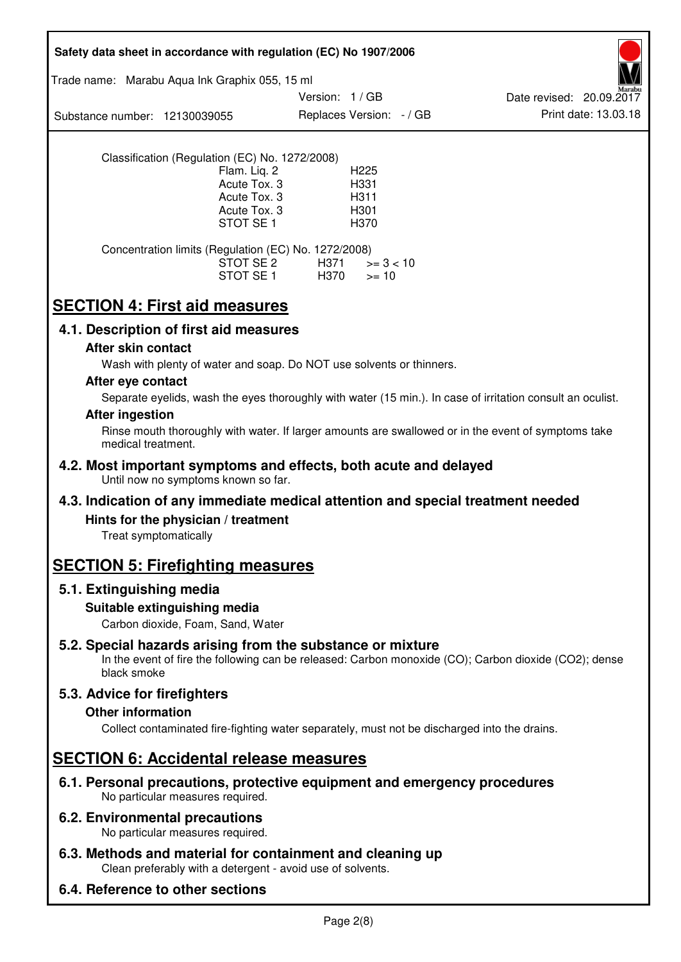| Safety data sheet in accordance with regulation (EC) No 1907/2006                                                                                                                                      |  |  |  |  |
|--------------------------------------------------------------------------------------------------------------------------------------------------------------------------------------------------------|--|--|--|--|
| Trade name: Marabu Aqua Ink Graphix 055, 15 ml                                                                                                                                                         |  |  |  |  |
| Version: 1/GB<br>Date revised: 20.09.2017<br>Print date: 13.03.18<br>Replaces Version: - / GB<br>Substance number: 12130039055                                                                         |  |  |  |  |
| Classification (Regulation (EC) No. 1272/2008)<br>Flam. Liq. 2<br>H <sub>225</sub><br>Acute Tox. 3<br>H331<br>Acute Tox. 3<br>H311<br>Acute Tox. 3<br>H <sub>301</sub><br>STOT SE <sub>1</sub><br>H370 |  |  |  |  |
| Concentration limits (Regulation (EC) No. 1272/2008)<br>STOT SE 2<br>H371<br>$>= 3 < 10$<br>STOT SE 1<br>H370<br>$>= 10$                                                                               |  |  |  |  |
| <b>SECTION 4: First aid measures</b>                                                                                                                                                                   |  |  |  |  |
| 4.1. Description of first aid measures                                                                                                                                                                 |  |  |  |  |
| After skin contact<br>Wash with plenty of water and soap. Do NOT use solvents or thinners.                                                                                                             |  |  |  |  |
| After eye contact<br>Separate eyelids, wash the eyes thoroughly with water (15 min.). In case of irritation consult an oculist.                                                                        |  |  |  |  |
| <b>After ingestion</b><br>Rinse mouth thoroughly with water. If larger amounts are swallowed or in the event of symptoms take                                                                          |  |  |  |  |
| medical treatment.                                                                                                                                                                                     |  |  |  |  |
| 4.2. Most important symptoms and effects, both acute and delayed<br>Until now no symptoms known so far.                                                                                                |  |  |  |  |
| 4.3. Indication of any immediate medical attention and special treatment needed                                                                                                                        |  |  |  |  |
| Hints for the physician / treatment<br>Treat symptomatically                                                                                                                                           |  |  |  |  |
| <b>SECTION 5: Firefighting measures</b>                                                                                                                                                                |  |  |  |  |
| 5.1. Extinguishing media                                                                                                                                                                               |  |  |  |  |
| Suitable extinguishing media<br>Carbon dioxide, Foam, Sand, Water                                                                                                                                      |  |  |  |  |
| 5.2. Special hazards arising from the substance or mixture<br>In the event of fire the following can be released: Carbon monoxide (CO); Carbon dioxide (CO2); dense<br>black smoke                     |  |  |  |  |
| 5.3. Advice for firefighters<br><b>Other information</b><br>Collect contaminated fire-fighting water separately, must not be discharged into the drains.                                               |  |  |  |  |
| <b>SECTION 6: Accidental release measures</b>                                                                                                                                                          |  |  |  |  |
| 6.1. Personal precautions, protective equipment and emergency procedures<br>No particular measures required.                                                                                           |  |  |  |  |
| <b>6.2. Environmental precautions</b><br>No particular measures required.                                                                                                                              |  |  |  |  |
| 6.3. Methods and material for containment and cleaning up<br>Clean preferably with a detergent - avoid use of solvents.                                                                                |  |  |  |  |
| 6.4. Reference to other sections                                                                                                                                                                       |  |  |  |  |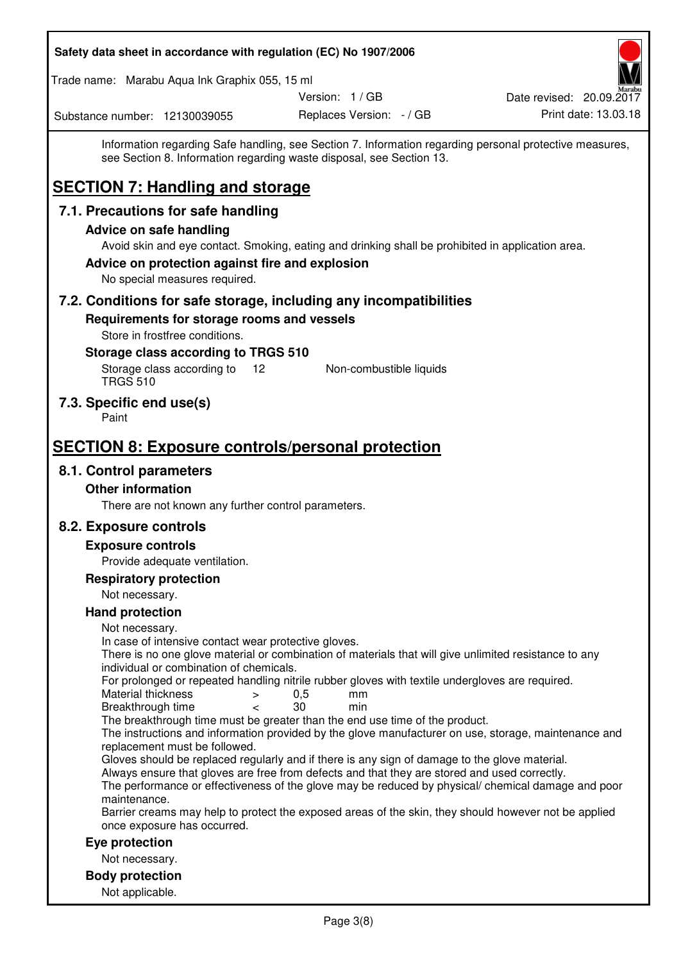| Safety data sheet in accordance with regulation (EC) No 1907/2006                                                                                                                     |                          |                                                                                                         |  |  |
|---------------------------------------------------------------------------------------------------------------------------------------------------------------------------------------|--------------------------|---------------------------------------------------------------------------------------------------------|--|--|
| Trade name: Marabu Aqua Ink Graphix 055, 15 ml                                                                                                                                        |                          |                                                                                                         |  |  |
|                                                                                                                                                                                       | Version: 1 / GB          | Date revised: 20.09.2017                                                                                |  |  |
| Substance number: 12130039055                                                                                                                                                         | Replaces Version: - / GB | Print date: 13.03.18                                                                                    |  |  |
| see Section 8. Information regarding waste disposal, see Section 13.<br><b>SECTION 7: Handling and storage</b>                                                                        |                          | Information regarding Safe handling, see Section 7. Information regarding personal protective measures, |  |  |
| 7.1. Precautions for safe handling                                                                                                                                                    |                          |                                                                                                         |  |  |
| <b>Advice on safe handling</b>                                                                                                                                                        |                          |                                                                                                         |  |  |
| Avoid skin and eye contact. Smoking, eating and drinking shall be prohibited in application area.<br>Advice on protection against fire and explosion<br>No special measures required. |                          |                                                                                                         |  |  |
| 7.2. Conditions for safe storage, including any incompatibilities                                                                                                                     |                          |                                                                                                         |  |  |
| Requirements for storage rooms and vessels                                                                                                                                            |                          |                                                                                                         |  |  |
| Store in frostfree conditions.                                                                                                                                                        |                          |                                                                                                         |  |  |
| Storage class according to TRGS 510<br>Storage class according to<br>12<br><b>TRGS 510</b>                                                                                            | Non-combustible liquids  |                                                                                                         |  |  |
| 7.3. Specific end use(s)<br>Paint                                                                                                                                                     |                          |                                                                                                         |  |  |
| <b>SECTION 8: Exposure controls/personal protection</b>                                                                                                                               |                          |                                                                                                         |  |  |
| 8.1. Control parameters                                                                                                                                                               |                          |                                                                                                         |  |  |
| <b>Other information</b>                                                                                                                                                              |                          |                                                                                                         |  |  |
| There are not known any further control parameters.                                                                                                                                   |                          |                                                                                                         |  |  |
| 8.2. Exposure controls                                                                                                                                                                |                          |                                                                                                         |  |  |
| <b>Exposure controls</b>                                                                                                                                                              |                          |                                                                                                         |  |  |
| Provide adequate ventilation.                                                                                                                                                         |                          |                                                                                                         |  |  |
| <b>Respiratory protection</b>                                                                                                                                                         |                          |                                                                                                         |  |  |
| Not necessary.                                                                                                                                                                        |                          |                                                                                                         |  |  |
| <b>Hand protection</b><br>Not necessary.                                                                                                                                              |                          |                                                                                                         |  |  |
| In case of intensive contact wear protective gloves.                                                                                                                                  |                          |                                                                                                         |  |  |
| There is no one glove material or combination of materials that will give unlimited resistance to any<br>individual or combination of chemicals.                                      |                          |                                                                                                         |  |  |
| For prolonged or repeated handling nitrile rubber gloves with textile undergloves are required.                                                                                       |                          |                                                                                                         |  |  |
| Material thickness<br>$\, > \,$                                                                                                                                                       | 0,5<br>mm                |                                                                                                         |  |  |
| Breakthrough time<br>$\overline{\phantom{0}}$<br>The breakthrough time must be greater than the end use time of the product.                                                          | 30<br>min                |                                                                                                         |  |  |
|                                                                                                                                                                                       |                          | The instructions and information provided by the glove manufacturer on use, storage, maintenance and    |  |  |
| replacement must be followed.<br>Gloves should be replaced regularly and if there is any sign of damage to the glove material.                                                        |                          |                                                                                                         |  |  |
| Always ensure that gloves are free from defects and that they are stored and used correctly.                                                                                          |                          |                                                                                                         |  |  |
| maintenance.                                                                                                                                                                          |                          | The performance or effectiveness of the glove may be reduced by physical/ chemical damage and poor      |  |  |
| Barrier creams may help to protect the exposed areas of the skin, they should however not be applied<br>once exposure has occurred.                                                   |                          |                                                                                                         |  |  |
| Eye protection                                                                                                                                                                        |                          |                                                                                                         |  |  |
| Not necessary.                                                                                                                                                                        |                          |                                                                                                         |  |  |
| <b>Body protection</b>                                                                                                                                                                |                          |                                                                                                         |  |  |
| Not applicable.                                                                                                                                                                       |                          |                                                                                                         |  |  |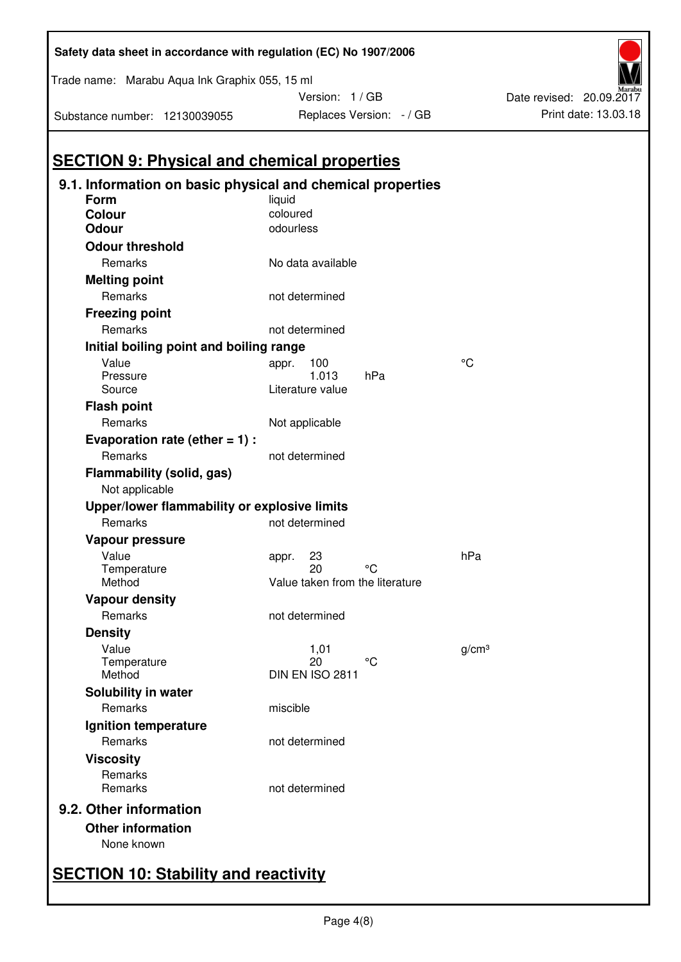|                                              | 9.1. Information on basic physical and chemical properties |                   |
|----------------------------------------------|------------------------------------------------------------|-------------------|
| Form                                         | liquid                                                     |                   |
| <b>Colour</b>                                | coloured                                                   |                   |
| <b>Odour</b>                                 | odourless                                                  |                   |
| <b>Odour threshold</b>                       |                                                            |                   |
| Remarks                                      | No data available                                          |                   |
| <b>Melting point</b>                         |                                                            |                   |
| Remarks                                      | not determined                                             |                   |
| <b>Freezing point</b>                        |                                                            |                   |
| Remarks                                      | not determined                                             |                   |
| Initial boiling point and boiling range      |                                                            |                   |
| Value                                        | 100<br>appr.                                               | °۲                |
| Pressure                                     | 1.013<br>hPa                                               |                   |
| Source                                       | Literature value                                           |                   |
| <b>Flash point</b>                           |                                                            |                   |
| Remarks                                      | Not applicable                                             |                   |
| Evaporation rate (ether $= 1$ ) :            |                                                            |                   |
| Remarks                                      | not determined                                             |                   |
| Flammability (solid, gas)<br>Not applicable  |                                                            |                   |
| Upper/lower flammability or explosive limits |                                                            |                   |
| Remarks                                      | not determined                                             |                   |
| Vapour pressure                              |                                                            |                   |
| Value                                        | 23<br>appr.                                                | hPa               |
| Temperature                                  | 20<br>∘د                                                   |                   |
| Method                                       | Value taken from the literature                            |                   |
| <b>Vapour density</b>                        |                                                            |                   |
| Remarks                                      | not determined                                             |                   |
| <b>Density</b>                               |                                                            |                   |
| Value                                        | 1,01                                                       | g/cm <sup>3</sup> |
| Temperature                                  | 20<br>°C<br><b>DIN EN ISO 2811</b>                         |                   |
| Method                                       |                                                            |                   |
| <b>Solubility in water</b>                   |                                                            |                   |
| Remarks                                      | miscible                                                   |                   |
| Ignition temperature                         |                                                            |                   |
| Remarks                                      | not determined                                             |                   |
| <b>Viscosity</b>                             |                                                            |                   |
| Remarks<br>Remarks                           | not determined                                             |                   |
| 9.2. Other information                       |                                                            |                   |
|                                              |                                                            |                   |
| <b>Other information</b>                     |                                                            |                   |

**Safety data sheet in accordance with regulation (EC) No 1907/2006** 

Version: 1 / GB

Replaces Version:  $-$  / GB Print date: 13.03.18

Date revised: 20.09.2017

Substance number: 12130039055

Trade name: Marabu Aqua Ink Graphix 055, 15 ml

# **SECTION 10: Stability and reactivity**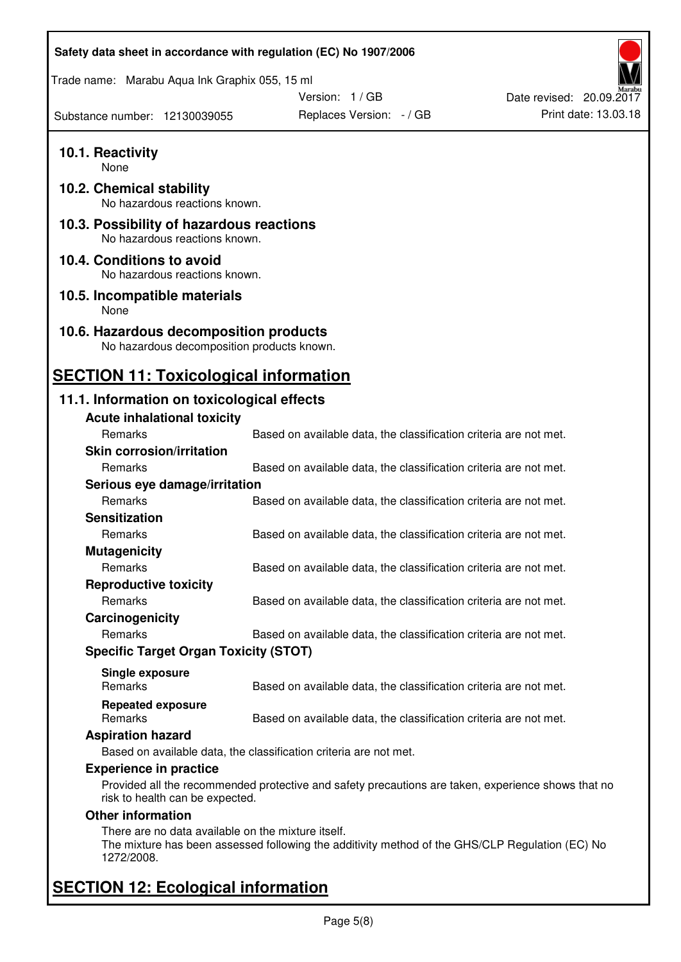| Safety data sheet in accordance with regulation (EC) No 1907/2006                    |                                                                                                    |                          |  |  |  |
|--------------------------------------------------------------------------------------|----------------------------------------------------------------------------------------------------|--------------------------|--|--|--|
| Trade name: Marabu Aqua Ink Graphix 055, 15 ml                                       |                                                                                                    |                          |  |  |  |
|                                                                                      | Version: 1 / GB                                                                                    | Date revised: 20.09.2017 |  |  |  |
| Substance number: 12130039055                                                        | Replaces Version: - / GB                                                                           | Print date: 13.03.18     |  |  |  |
| 10.1. Reactivity<br>None                                                             |                                                                                                    |                          |  |  |  |
| 10.2. Chemical stability<br>No hazardous reactions known.                            |                                                                                                    |                          |  |  |  |
| 10.3. Possibility of hazardous reactions<br>No hazardous reactions known.            |                                                                                                    |                          |  |  |  |
| 10.4. Conditions to avoid<br>No hazardous reactions known.                           |                                                                                                    |                          |  |  |  |
| 10.5. Incompatible materials<br>None                                                 |                                                                                                    |                          |  |  |  |
| 10.6. Hazardous decomposition products<br>No hazardous decomposition products known. |                                                                                                    |                          |  |  |  |
| <b>SECTION 11: Toxicological information</b>                                         |                                                                                                    |                          |  |  |  |
| 11.1. Information on toxicological effects                                           |                                                                                                    |                          |  |  |  |
| <b>Acute inhalational toxicity</b>                                                   |                                                                                                    |                          |  |  |  |
| Remarks                                                                              | Based on available data, the classification criteria are not met.                                  |                          |  |  |  |
| <b>Skin corrosion/irritation</b>                                                     |                                                                                                    |                          |  |  |  |
| Remarks                                                                              | Based on available data, the classification criteria are not met.                                  |                          |  |  |  |
| Serious eye damage/irritation                                                        |                                                                                                    |                          |  |  |  |
| Remarks                                                                              | Based on available data, the classification criteria are not met.                                  |                          |  |  |  |
| <b>Sensitization</b>                                                                 |                                                                                                    |                          |  |  |  |
| Remarks                                                                              | Based on available data, the classification criteria are not met.                                  |                          |  |  |  |
| <b>Mutagenicity</b>                                                                  |                                                                                                    |                          |  |  |  |
| Remarks                                                                              | Based on available data, the classification criteria are not met.                                  |                          |  |  |  |
| <b>Reproductive toxicity</b>                                                         |                                                                                                    |                          |  |  |  |
| Remarks                                                                              | Based on available data, the classification criteria are not met.                                  |                          |  |  |  |
| Carcinogenicity                                                                      |                                                                                                    |                          |  |  |  |
| Remarks                                                                              | Based on available data, the classification criteria are not met.                                  |                          |  |  |  |
| <b>Specific Target Organ Toxicity (STOT)</b>                                         |                                                                                                    |                          |  |  |  |
|                                                                                      |                                                                                                    |                          |  |  |  |
| Single exposure<br>Remarks                                                           | Based on available data, the classification criteria are not met.                                  |                          |  |  |  |
| <b>Repeated exposure</b><br>Remarks                                                  | Based on available data, the classification criteria are not met.                                  |                          |  |  |  |
| <b>Aspiration hazard</b>                                                             |                                                                                                    |                          |  |  |  |
|                                                                                      | Based on available data, the classification criteria are not met.                                  |                          |  |  |  |
| <b>Experience in practice</b>                                                        |                                                                                                    |                          |  |  |  |
| risk to health can be expected.                                                      | Provided all the recommended protective and safety precautions are taken, experience shows that no |                          |  |  |  |
| <b>Other information</b>                                                             |                                                                                                    |                          |  |  |  |
| There are no data available on the mixture itself.<br>1272/2008.                     | The mixture has been assessed following the additivity method of the GHS/CLP Regulation (EC) No    |                          |  |  |  |
| <b>SECTION 12: Ecological information</b>                                            |                                                                                                    |                          |  |  |  |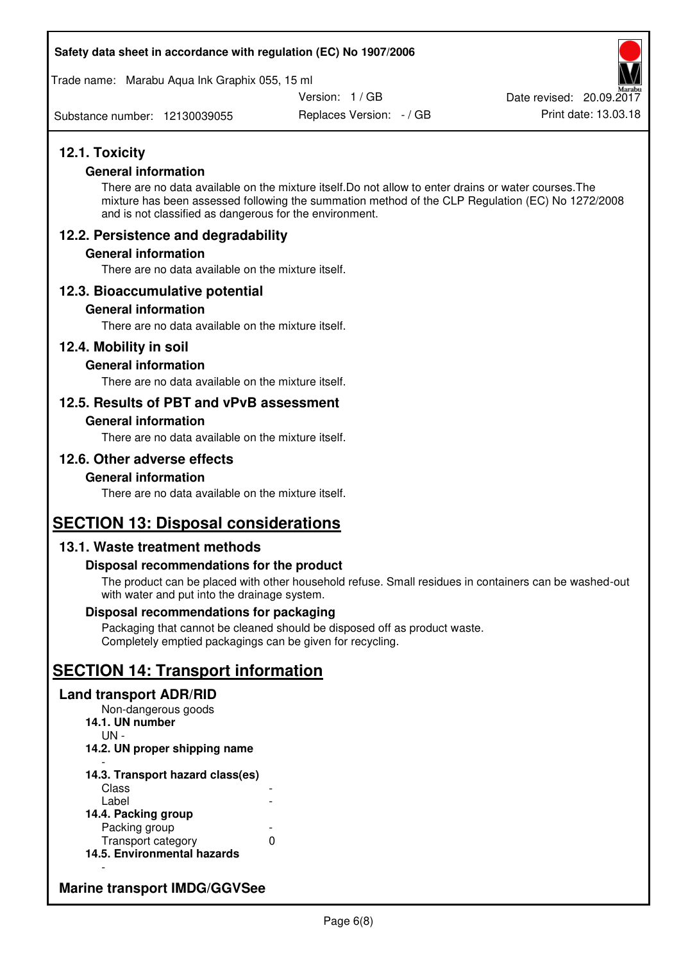#### **Safety data sheet in accordance with regulation (EC) No 1907/2006**

Trade name: Marabu Aqua Ink Graphix 055, 15 ml

Version: 1 / GB

Substance number: 12130039055

Replaces Version: - / GB Print date: 13.03.18 Date revised: 20.09.2017

# **12.1. Toxicity**

#### **General information**

There are no data available on the mixture itself.Do not allow to enter drains or water courses.The mixture has been assessed following the summation method of the CLP Regulation (EC) No 1272/2008 and is not classified as dangerous for the environment.

# **12.2. Persistence and degradability**

#### **General information**

There are no data available on the mixture itself.

# **12.3. Bioaccumulative potential**

#### **General information**

There are no data available on the mixture itself.

#### **12.4. Mobility in soil**

#### **General information**

There are no data available on the mixture itself.

# **12.5. Results of PBT and vPvB assessment**

#### **General information**

There are no data available on the mixture itself.

# **12.6. Other adverse effects**

#### **General information**

There are no data available on the mixture itself.

# **SECTION 13: Disposal considerations**

# **13.1. Waste treatment methods**

#### **Disposal recommendations for the product**

The product can be placed with other household refuse. Small residues in containers can be washed-out with water and put into the drainage system.

#### **Disposal recommendations for packaging**

Packaging that cannot be cleaned should be disposed off as product waste. Completely emptied packagings can be given for recycling.

# **SECTION 14: Transport information**

#### **Land transport ADR/RID**

Non-dangerous goods **14.1. UN number**  UN - **14.2. UN proper shipping name**  -

#### **14.3. Transport hazard class(es)**  Class<br>Label Label -

| 14.4. Packing group         |   |
|-----------------------------|---|
| Packing group               |   |
| Transport category          | O |
| 14.5. Environmental hazards |   |

# **Marine transport IMDG/GGVSee**

-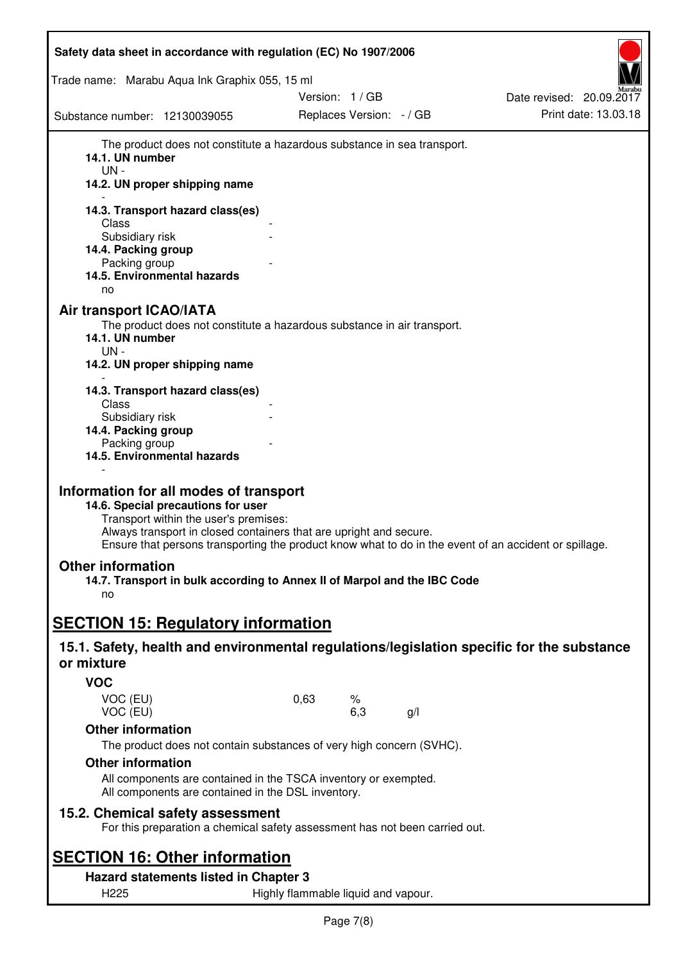| Safety data sheet in accordance with regulation (EC) No 1907/2006                                                                                                                                                                                                                                   |                                     |                                             |    |                                                  |
|-----------------------------------------------------------------------------------------------------------------------------------------------------------------------------------------------------------------------------------------------------------------------------------------------------|-------------------------------------|---------------------------------------------|----|--------------------------------------------------|
| Trade name: Marabu Aqua Ink Graphix 055, 15 ml                                                                                                                                                                                                                                                      |                                     |                                             |    |                                                  |
| Substance number: 12130039055                                                                                                                                                                                                                                                                       |                                     | Version: 1 / GB<br>Replaces Version: - / GB |    | Date revised: 20.09.2017<br>Print date: 13.03.18 |
| The product does not constitute a hazardous substance in sea transport.<br>14.1. UN number<br>$UN -$<br>14.2. UN proper shipping name<br>14.3. Transport hazard class(es)<br>Class<br>Subsidiary risk<br>14.4. Packing group<br>Packing group<br>14.5. Environmental hazards                        |                                     |                                             |    |                                                  |
| no<br><b>Air transport ICAO/IATA</b><br>The product does not constitute a hazardous substance in air transport.<br>14.1. UN number<br>$UN -$<br>14.2. UN proper shipping name                                                                                                                       |                                     |                                             |    |                                                  |
| 14.3. Transport hazard class(es)<br>Class<br>Subsidiary risk<br>14.4. Packing group<br>Packing group<br>14.5. Environmental hazards                                                                                                                                                                 |                                     |                                             |    |                                                  |
| Information for all modes of transport<br>14.6. Special precautions for user<br>Transport within the user's premises:<br>Always transport in closed containers that are upright and secure.<br>Ensure that persons transporting the product know what to do in the event of an accident or spillage |                                     |                                             |    |                                                  |
| <b>Other information</b><br>14.7. Transport in bulk according to Annex II of Marpol and the IBC Code<br>no                                                                                                                                                                                          |                                     |                                             |    |                                                  |
| <b>SECTION 15: Regulatory information</b>                                                                                                                                                                                                                                                           |                                     |                                             |    |                                                  |
| 15.1. Safety, health and environmental regulations/legislation specific for the substance<br>or mixture                                                                                                                                                                                             |                                     |                                             |    |                                                  |
| <b>VOC</b>                                                                                                                                                                                                                                                                                          |                                     |                                             |    |                                                  |
| VOC (EU)<br>VOC (EU)                                                                                                                                                                                                                                                                                | 0,63                                | %<br>6,3                                    | g/ |                                                  |
| <b>Other information</b><br>The product does not contain substances of very high concern (SVHC).                                                                                                                                                                                                    |                                     |                                             |    |                                                  |
| <b>Other information</b>                                                                                                                                                                                                                                                                            |                                     |                                             |    |                                                  |
| All components are contained in the TSCA inventory or exempted.<br>All components are contained in the DSL inventory.                                                                                                                                                                               |                                     |                                             |    |                                                  |
| 15.2. Chemical safety assessment<br>For this preparation a chemical safety assessment has not been carried out.                                                                                                                                                                                     |                                     |                                             |    |                                                  |
| <b>SECTION 16: Other information</b>                                                                                                                                                                                                                                                                |                                     |                                             |    |                                                  |
| Hazard statements listed in Chapter 3                                                                                                                                                                                                                                                               |                                     |                                             |    |                                                  |
| H <sub>225</sub>                                                                                                                                                                                                                                                                                    | Highly flammable liquid and vapour. |                                             |    |                                                  |